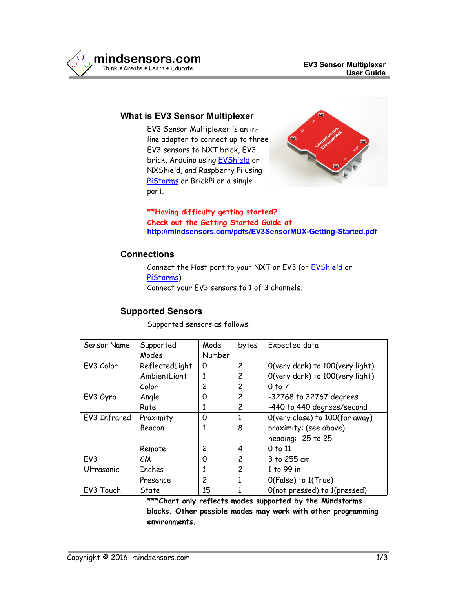

### **What is EV3 Sensor Multiplexer**

EV3 Sensor Multiplexer is an inline adapter to connect up to three EV3 sensors to NXT brick, EV3 brick, Arduino using [EVShield](http://www.mindsensors.com/arduino/16-evshield-for-arduino-duemilanove-or-uno) or NXShield, and Raspberry Pi using [PiStorms](http://www.mindsensors.com/content/78-pistorms-lego-interface) or BrickPi on a single port.



**\*\*Having difficulty getting started? Check out the Getting Started Guide at <http://mindsensors.com/pdfs/EV3SensorMUX-Getting-Started.pdf>**

## **Connections**

Connect the Host port to your NXT or EV3 (or [EVShield](http://www.mindsensors.com/arduino/16-evshield-for-arduino-duemilanove-or-uno) or [PiStorms\)](http://www.mindsensors.com/content/78-pistorms-lego-interface). Connect your EV3 sensors to 1 of 3 channels.

# **Supported Sensors**

Supported sensors as follows:

| Sensor Name     | Supported      | Mode   | bytes          | Expected data                   |
|-----------------|----------------|--------|----------------|---------------------------------|
|                 | Modes          | Number |                |                                 |
| EV3 Color       | ReflectedLight | 0      | 2              | O(very dark) to 100(very light) |
|                 | AmbientLight   |        | 2              | O(very dark) to 100(very light) |
|                 | Color          | 2      | 2              | $0$ to $7$                      |
| EV3 Gyro        | Angle          | 0      | 2              | -32768 to 32767 degrees         |
|                 | Rate           |        | 2              | -440 to 440 degrees/second      |
| EV3 Infrared    | Proximity      | 0      | 1              | O(very close) to 100(far away)  |
|                 | Beacon         |        | 8              | proximity: (see above)          |
|                 |                |        |                | heading: -25 to 25              |
|                 | Remote         | 2      | 4              | $0$ to $11$                     |
| EV <sub>3</sub> | CM             | 0      | $\overline{c}$ | 3 to 255 cm                     |
| Ultrasonic      | <b>Inches</b>  |        | 2              | 1 to 99 in                      |
|                 | Presence       | 2      | 1              | O(False) to 1(True)             |
| EV3 Touch       | State          | 15     |                | O(not pressed) to 1(pressed)    |

**\*\*\*Chart only reflects modes supported by the Mindstorms blocks. Other possible modes may work with other programming environments.**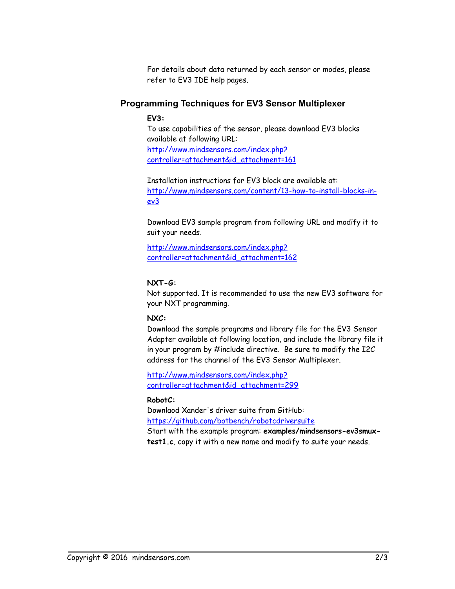For details about data returned by each sensor or modes, please refer to EV3 IDE help pages.

## **Programming Techniques for EV3 Sensor Multiplexer**

**EV3:** 

To use capabilities of the sensor, please download EV3 blocks available at following URL: [http://www.mindsensors.com/index.php?](http://www.mindsensors.com/index.php?controller=attachment&id_attachment=161) [controller=attachment&id\\_attachment=161](http://www.mindsensors.com/index.php?controller=attachment&id_attachment=161)

Installation instructions for EV3 block are available at: [http://www.mindsensors.com/content/13-how-to-install-blocks-in](http://www.mindsensors.com/content/13-how-to-install-blocks-in-ev3)[ev3](http://www.mindsensors.com/content/13-how-to-install-blocks-in-ev3)

Download EV3 sample program from following URL and modify it to suit your needs.

[http://www.mindsensors.com/index.php?](http://www.mindsensors.com/index.php?controller=attachment&id_attachment=162) [controller=attachment&id\\_attachment=162](http://www.mindsensors.com/index.php?controller=attachment&id_attachment=162)

### **NXT-G:**

Not supported. It is recommended to use the new EV3 software for your NXT programming.

## **NXC:**

Download the sample programs and library file for the EV3 Sensor Adapter available at following location, and include the library file it in your program by #include directive. Be sure to modify the I2C address for the channel of the EV3 Sensor Multiplexer.

[http://www.mindsensors.com/index.php?](http://www.mindsensors.com/index.php?controller=attachment&id_attachment=299) [controller=attachment&id\\_attachment=299](http://www.mindsensors.com/index.php?controller=attachment&id_attachment=299)

#### **RobotC:**

Downlaod Xander's driver suite from GitHub: <https://github.com/botbench/robotcdriversuite>

Start with the example program: **examples/mindsensors-ev3smuxtest1.c**, copy it with a new name and modify to suite your needs.